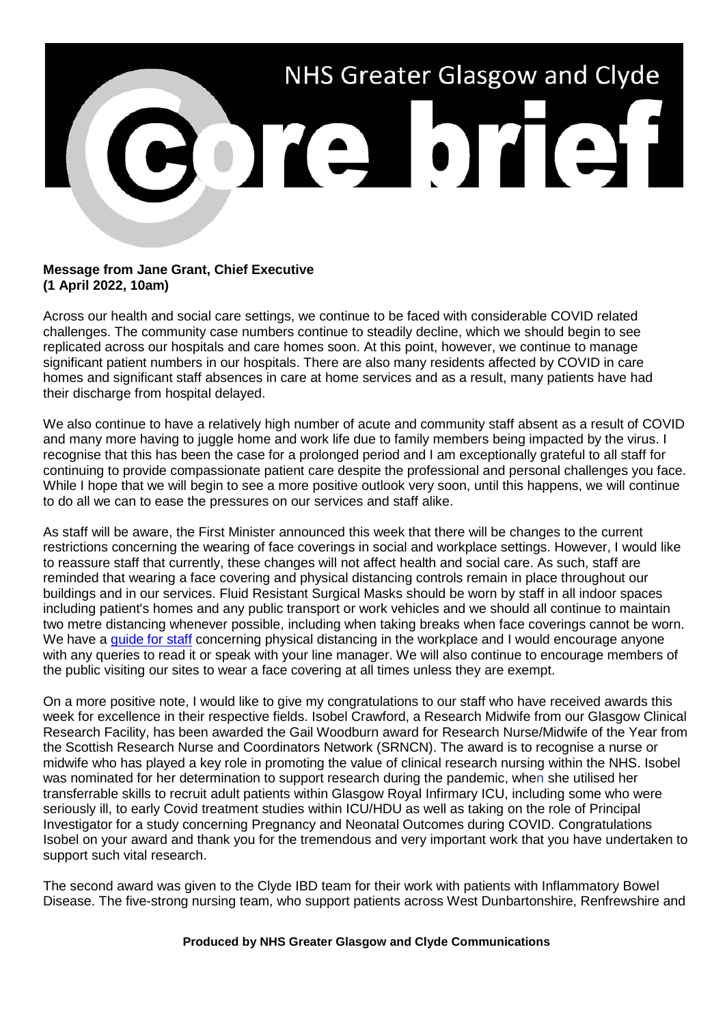

## **Message from Jane Grant, Chief Executive (1 April 2022, 10am)**

Across our health and social care settings, we continue to be faced with considerable COVID related challenges. The community case numbers continue to steadily decline, which we should begin to see replicated across our hospitals and care homes soon. At this point, however, we continue to manage significant patient numbers in our hospitals. There are also many residents affected by COVID in care homes and significant staff absences in care at home services and as a result, many patients have had their discharge from hospital delayed.

We also continue to have a relatively high number of acute and community staff absent as a result of COVID and many more having to juggle home and work life due to family members being impacted by the virus. I recognise that this has been the case for a prolonged period and I am exceptionally grateful to all staff for continuing to provide compassionate patient care despite the professional and personal challenges you face. While I hope that we will begin to see a more positive outlook very soon, until this happens, we will continue to do all we can to ease the pressures on our services and staff alike.

As staff will be aware, the First Minister announced this week that there will be changes to the current restrictions concerning the wearing of face coverings in social and workplace settings. However, I would like to reassure staff that currently, these changes will not affect health and social care. As such, staff are reminded that wearing a face covering and physical distancing controls remain in place throughout our buildings and in our services. Fluid Resistant Surgical Masks should be worn by staff in all indoor spaces including patient's homes and any public transport or work vehicles and we should all continue to maintain two metre distancing whenever possible, including when taking breaks when face coverings cannot be worn. We have a [guide for staff](https://www.nhsggc.org.uk/your-health/health-issues/covid-19-coronavirus/for-nhsggc-staff/physical-distancing-in-the-workplace/) concerning physical distancing in the workplace and I would encourage anyone with any queries to read it or speak with your line manager. We will also continue to encourage members of the public visiting our sites to wear a face covering at all times unless they are exempt.

On a more positive note, I would like to give my congratulations to our staff who have received awards this week for excellence in their respective fields. Isobel Crawford, a Research Midwife from our Glasgow Clinical Research Facility, has been awarded the Gail Woodburn award for Research Nurse/Midwife of the Year from the Scottish Research Nurse and Coordinators Network (SRNCN). The award is to recognise a nurse or midwife who has played a key role in promoting the value of clinical research nursing within the NHS. Isobel was nominated for her determination to support research during the pandemic, when she utilised her transferrable skills to recruit adult patients within Glasgow Royal Infirmary ICU, including some who were seriously ill, to early Covid treatment studies within ICU/HDU as well as taking on the role of Principal Investigator for a study concerning Pregnancy and Neonatal Outcomes during COVID. Congratulations Isobel on your award and thank you for the tremendous and very important work that you have undertaken to support such vital research.

The second award was given to the Clyde IBD team for their work with patients with Inflammatory Bowel Disease. The five-strong nursing team, who support patients across West Dunbartonshire, Renfrewshire and

## **Produced by NHS Greater Glasgow and Clyde Communications**